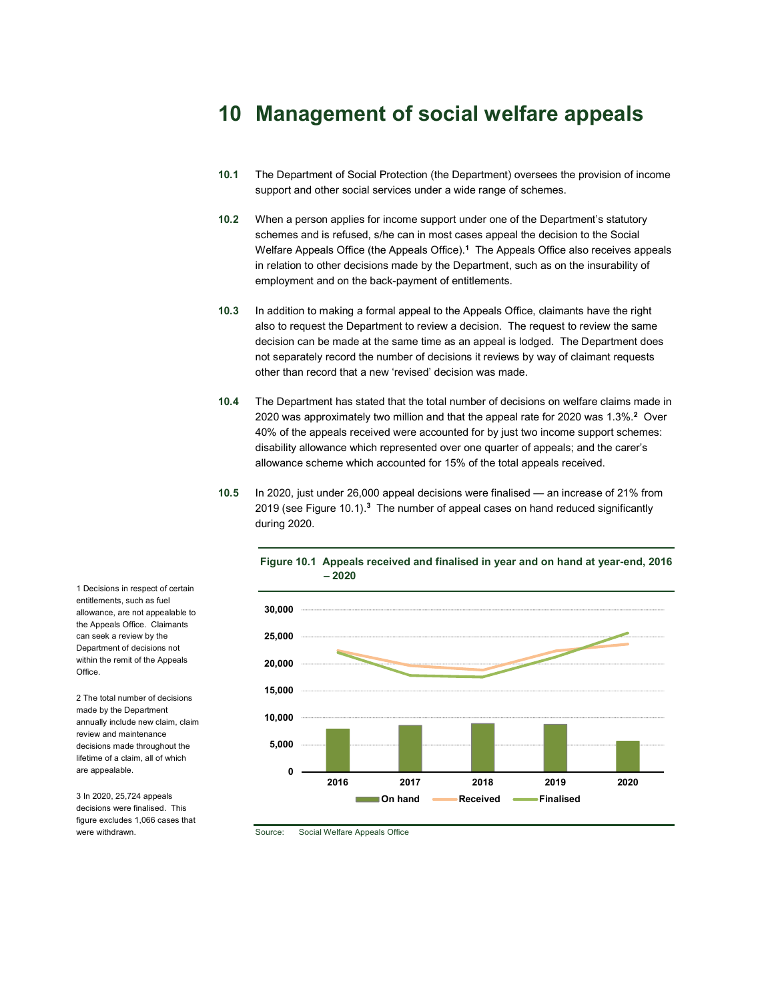# 10 Management of social welfare appeals

- 10.1 The Department of Social Protection (the Department) oversees the provision of income support and other social services under a wide range of schemes.
- 10.2 When a person applies for income support under one of the Department's statutory schemes and is refused, s/he can in most cases appeal the decision to the Social Welfare Appeals Office (the Appeals Office). $1$  The Appeals Office also receives appeals in relation to other decisions made by the Department, such as on the insurability of employment and on the back-payment of entitlements.
- 10.3 In addition to making a formal appeal to the Appeals Office, claimants have the right also to request the Department to review a decision. The request to review the same decision can be made at the same time as an appeal is lodged. The Department does not separately record the number of decisions it reviews by way of claimant requests other than record that a new 'revised' decision was made.
- 10.4 The Department has stated that the total number of decisions on welfare claims made in 2020 was approximately two million and that the appeal rate for 2020 was 1.3%.<sup>2</sup> Over 40% of the appeals received were accounted for by just two income support schemes: disability allowance which represented over one quarter of appeals; and the carer's allowance scheme which accounted for 15% of the total appeals received.
- 10.5 In 2020, just under 26,000 appeal decisions were finalised an increase of 21% from 2019 (see Figure 10.1).<sup>3</sup> The number of appeal cases on hand reduced significantly during 2020.



Figure 10.1 Appeals received and finalised in year and on hand at year-end, 2016 – 2020

Source: Social Welfare Appeals Office

1 Decisions in respect of certain entitlements, such as fuel allowance, are not appealable to the Appeals Office. Claimants can seek a review by the Department of decisions not within the remit of the Appeals **Office** 

2 The total number of decisions made by the Department annually include new claim, claim review and maintenance decisions made throughout the lifetime of a claim, all of which are appealable.

3 In 2020, 25,724 appeals decisions were finalised. This figure excludes 1,066 cases that were withdrawn.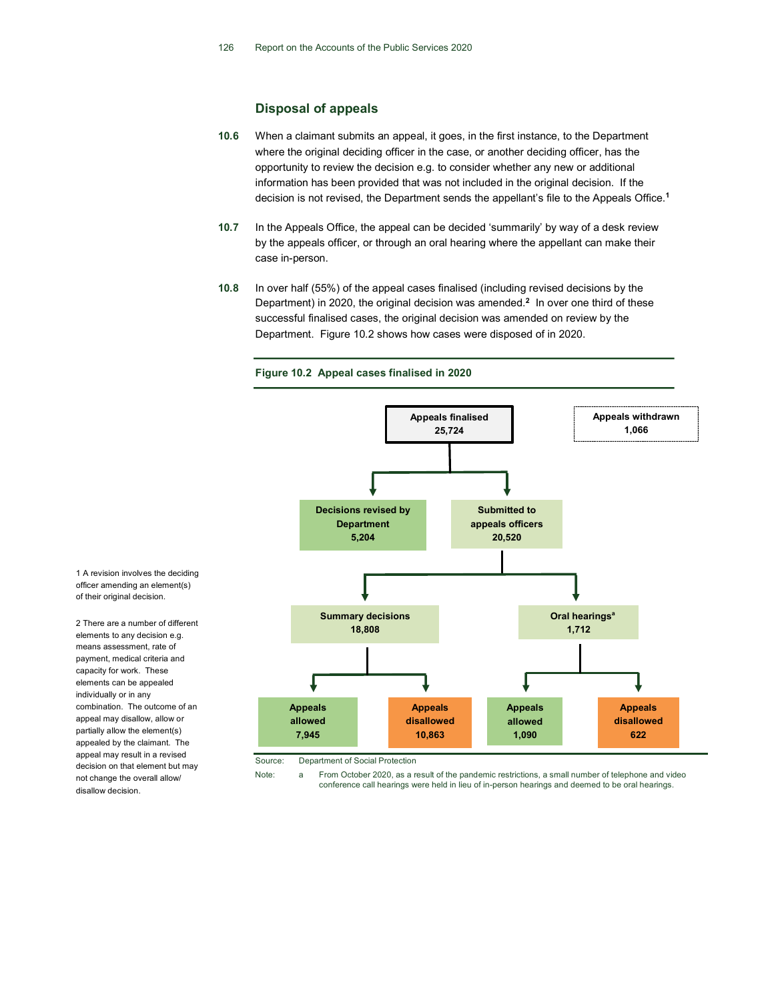# Disposal of appeals

- 10.6 When a claimant submits an appeal, it goes, in the first instance, to the Department where the original deciding officer in the case, or another deciding officer, has the opportunity to review the decision e.g. to consider whether any new or additional information has been provided that was not included in the original decision. If the decision is not revised, the Department sends the appellant's file to the Appeals Office.<sup>1</sup>
- 10.7 In the Appeals Office, the appeal can be decided 'summarily' by way of a desk review by the appeals officer, or through an oral hearing where the appellant can make their case in-person.
- 10.8 In over half (55%) of the appeal cases finalised (including revised decisions by the Department) in 2020, the original decision was amended.<sup>2</sup> In over one third of these successful finalised cases, the original decision was amended on review by the Department. Figure 10.2 shows how cases were disposed of in 2020.

#### Figure 10.2 Appeal cases finalised in 2020



officer amending an element(s) of their original decision.

1 A revision involves the deciding

2 There are a number of different elements to any decision e.g. means assessment, rate of payment, medical criteria and capacity for work. These elements can be appealed individually or in any combination. The outcome of an appeal may disallow, allow or partially allow the element(s) appealed by the claimant. The appeal may result in a revised decision on that element but may not change the overall allow/ disallow decision.

Source: Department of Social Protection

Note: a From October 2020, as a result of the pandemic restrictions, a small number of telephone and video conference call hearings were held in lieu of in-person hearings and deemed to be oral hearings.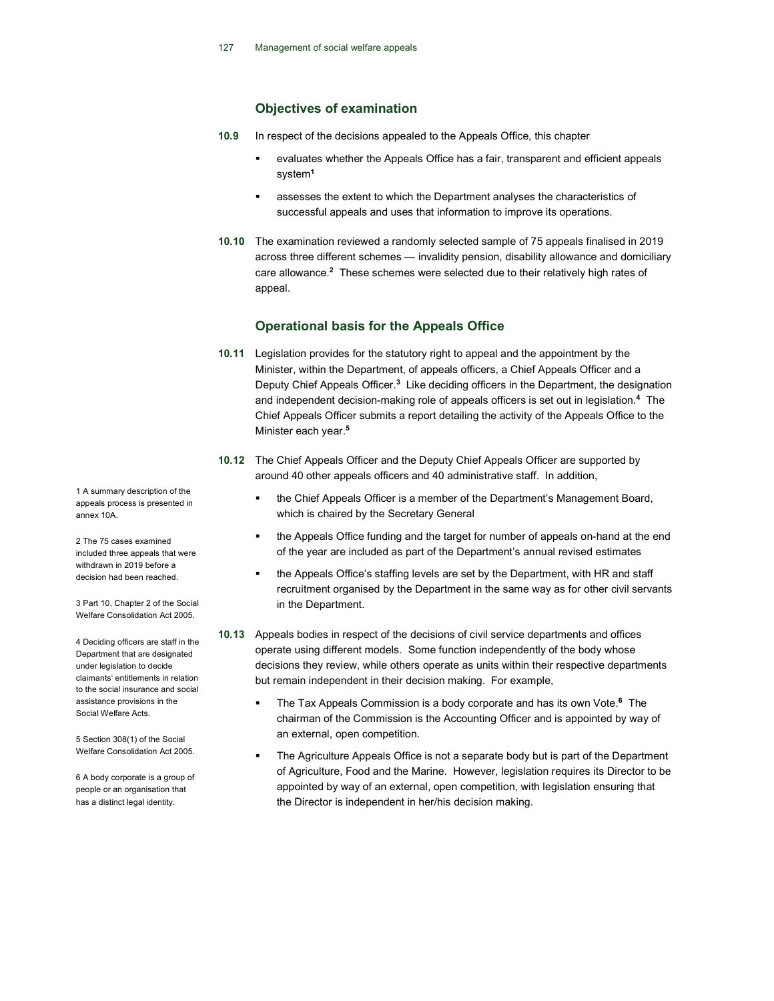# Objectives of examination

- 10.9 In respect of the decisions appealed to the Appeals Office, this chapter
	- evaluates whether the Appeals Office has a fair, transparent and efficient appeals system<sup>1</sup>
	- assesses the extent to which the Department analyses the characteristics of successful appeals and uses that information to improve its operations.
- 10.10 The examination reviewed a randomly selected sample of 75 appeals finalised in 2019 across three different schemes — invalidity pension, disability allowance and domiciliary care allowance.<sup>2</sup> These schemes were selected due to their relatively high rates of appeal.

# Operational basis for the Appeals Office

- 10.11 Legislation provides for the statutory right to appeal and the appointment by the Minister, within the Department, of appeals officers, a Chief Appeals Officer and a Deputy Chief Appeals Officer.<sup>3</sup> Like deciding officers in the Department, the designation and independent decision-making role of appeals officers is set out in legislation.<sup>4</sup> The Chief Appeals Officer submits a report detailing the activity of the Appeals Office to the Minister each year.<sup>5</sup>
- 10.12 The Chief Appeals Officer and the Deputy Chief Appeals Officer are supported by around 40 other appeals officers and 40 administrative staff. In addition,
	- the Chief Appeals Officer is a member of the Department's Management Board, which is chaired by the Secretary General
	- the Appeals Office funding and the target for number of appeals on-hand at the end of the year are included as part of the Department's annual revised estimates
	- the Appeals Office's staffing levels are set by the Department, with HR and staff recruitment organised by the Department in the same way as for other civil servants in the Department.
- 10.13 Appeals bodies in respect of the decisions of civil service departments and offices operate using different models. Some function independently of the body whose decisions they review, while others operate as units within their respective departments but remain independent in their decision making. For example,
	- The Tax Appeals Commission is a body corporate and has its own Vote.<sup>6</sup> The chairman of the Commission is the Accounting Officer and is appointed by way of an external, open competition.
	- **The Agriculture Appeals Office is not a separate body but is part of the Department** of Agriculture, Food and the Marine. However, legislation requires its Director to be appointed by way of an external, open competition, with legislation ensuring that the Director is independent in her/his decision making.

1 A summary description of the appeals process is presented in annex 10A.

2 The 75 cases examined included three appeals that were withdrawn in 2019 before a decision had been reached.

3 Part 10, Chapter 2 of the Social Welfare Consolidation Act 2005.

4 Deciding officers are staff in the Department that are designated under legislation to decide claimants' entitlements in relation to the social insurance and social assistance provisions in the Social Welfare Acts.

5 Section 308(1) of the Social Welfare Consolidation Act 2005.

6 A body corporate is a group of people or an organisation that has a distinct legal identity.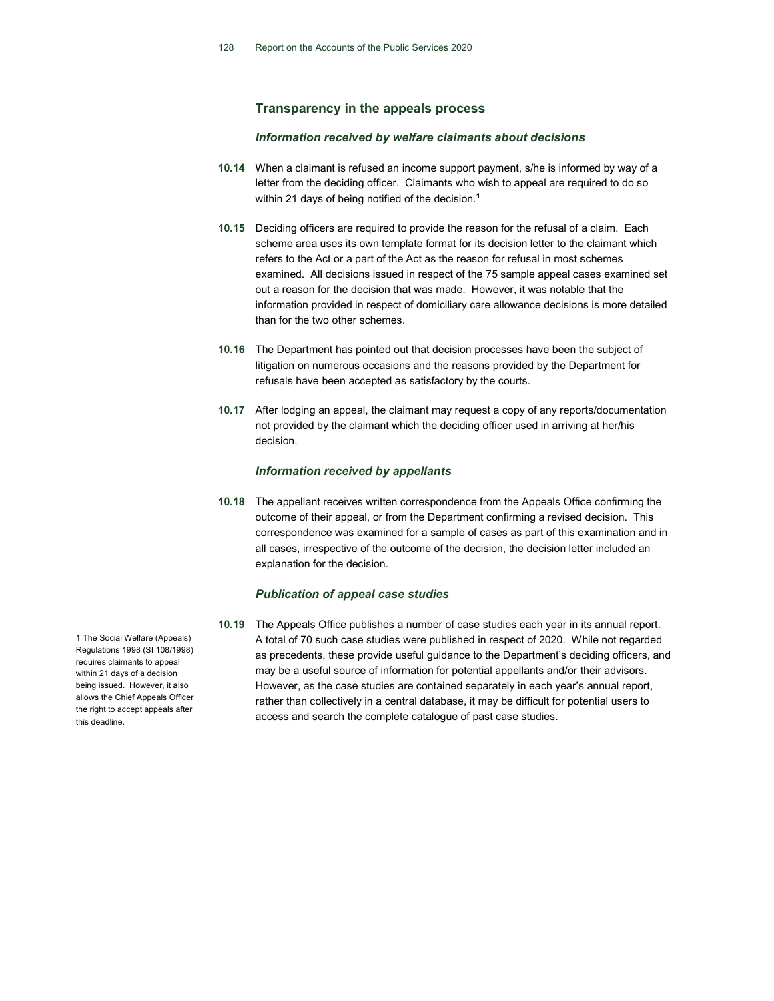# Transparency in the appeals process

# Information received by welfare claimants about decisions

- 10.14 When a claimant is refused an income support payment, s/he is informed by way of a letter from the deciding officer. Claimants who wish to appeal are required to do so within 21 days of being notified of the decision.<sup>1</sup>
- 10.15 Deciding officers are required to provide the reason for the refusal of a claim. Each scheme area uses its own template format for its decision letter to the claimant which refers to the Act or a part of the Act as the reason for refusal in most schemes examined. All decisions issued in respect of the 75 sample appeal cases examined set out a reason for the decision that was made. However, it was notable that the information provided in respect of domiciliary care allowance decisions is more detailed than for the two other schemes.
- 10.16 The Department has pointed out that decision processes have been the subject of litigation on numerous occasions and the reasons provided by the Department for refusals have been accepted as satisfactory by the courts.
- 10.17 After lodging an appeal, the claimant may request a copy of any reports/documentation not provided by the claimant which the deciding officer used in arriving at her/his decision.

# Information received by appellants

10.18 The appellant receives written correspondence from the Appeals Office confirming the outcome of their appeal, or from the Department confirming a revised decision. This correspondence was examined for a sample of cases as part of this examination and in all cases, irrespective of the outcome of the decision, the decision letter included an explanation for the decision.

# Publication of appeal case studies

10.19 The Appeals Office publishes a number of case studies each year in its annual report. A total of 70 such case studies were published in respect of 2020. While not regarded as precedents, these provide useful guidance to the Department's deciding officers, and may be a useful source of information for potential appellants and/or their advisors. However, as the case studies are contained separately in each year's annual report, rather than collectively in a central database, it may be difficult for potential users to access and search the complete catalogue of past case studies.

1 The Social Welfare (Appeals) Regulations 1998 (SI 108/1998) requires claimants to appeal within 21 days of a decision being issued. However, it also allows the Chief Appeals Officer the right to accept appeals after this deadline.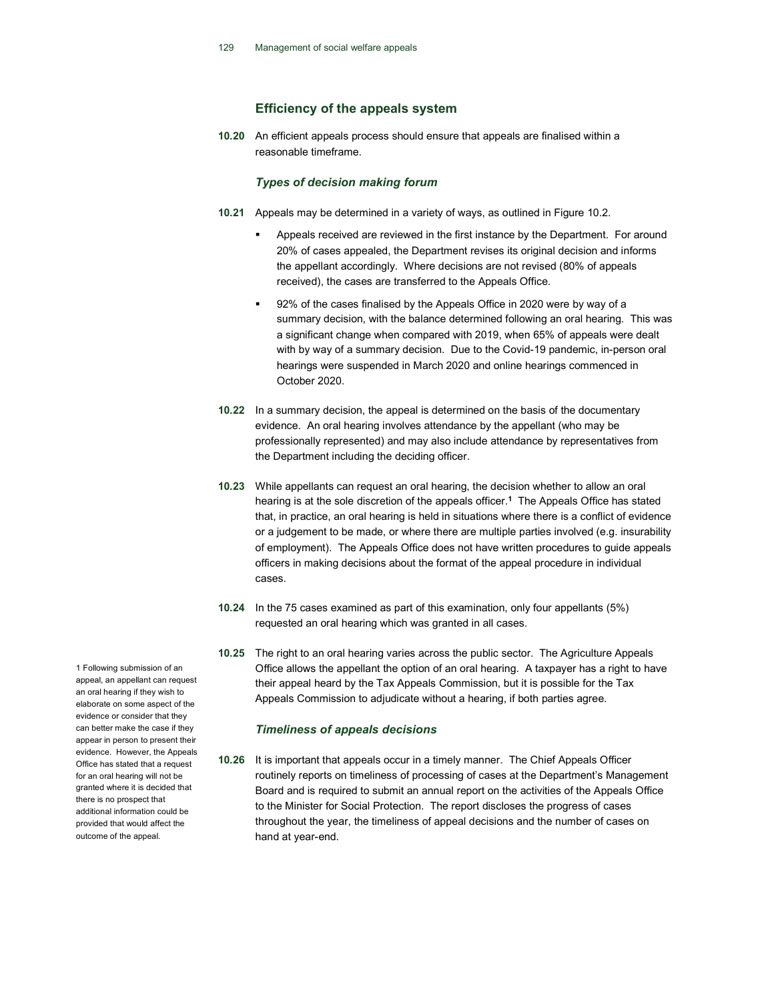# Efficiency of the appeals system

10.20 An efficient appeals process should ensure that appeals are finalised within a reasonable timeframe.

## Types of decision making forum

- 10.21 Appeals may be determined in a variety of ways, as outlined in Figure 10.2.
	- Appeals received are reviewed in the first instance by the Department. For around 20% of cases appealed, the Department revises its original decision and informs the appellant accordingly. Where decisions are not revised (80% of appeals received), the cases are transferred to the Appeals Office.
	- 92% of the cases finalised by the Appeals Office in 2020 were by way of a summary decision, with the balance determined following an oral hearing. This was a significant change when compared with 2019, when 65% of appeals were dealt with by way of a summary decision. Due to the Covid-19 pandemic, in-person oral hearings were suspended in March 2020 and online hearings commenced in October 2020.
- 10.22 In a summary decision, the appeal is determined on the basis of the documentary evidence. An oral hearing involves attendance by the appellant (who may be professionally represented) and may also include attendance by representatives from the Department including the deciding officer.
- 10.23 While appellants can request an oral hearing, the decision whether to allow an oral hearing is at the sole discretion of the appeals officer.<sup>1</sup> The Appeals Office has stated that, in practice, an oral hearing is held in situations where there is a conflict of evidence or a judgement to be made, or where there are multiple parties involved (e.g. insurability of employment). The Appeals Office does not have written procedures to guide appeals officers in making decisions about the format of the appeal procedure in individual cases.
- 10.24 In the 75 cases examined as part of this examination, only four appellants (5%) requested an oral hearing which was granted in all cases.
- 10.25 The right to an oral hearing varies across the public sector. The Agriculture Appeals Office allows the appellant the option of an oral hearing. A taxpayer has a right to have their appeal heard by the Tax Appeals Commission, but it is possible for the Tax Appeals Commission to adjudicate without a hearing, if both parties agree.

# Timeliness of appeals decisions

10.26 It is important that appeals occur in a timely manner. The Chief Appeals Officer routinely reports on timeliness of processing of cases at the Department's Management Board and is required to submit an annual report on the activities of the Appeals Office to the Minister for Social Protection. The report discloses the progress of cases throughout the year, the timeliness of appeal decisions and the number of cases on hand at year-end.

1 Following submission of an appeal, an appellant can request an oral hearing if they wish to elaborate on some aspect of the evidence or consider that they can better make the case if they appear in person to present their evidence. However, the Appeals Office has stated that a request for an oral hearing will not be granted where it is decided that there is no prospect that additional information could be provided that would affect the outcome of the appeal.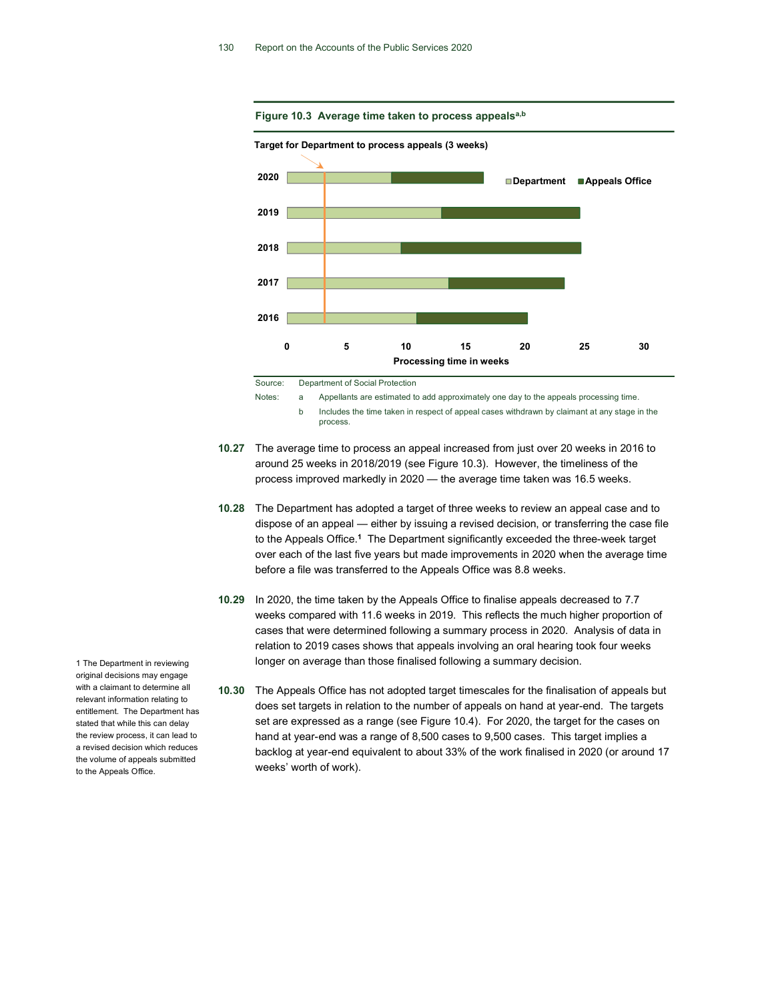

Source: Department of Social Protection

Notes: a Appellants are estimated to add approximately one day to the appeals processing time.

 b Includes the time taken in respect of appeal cases withdrawn by claimant at any stage in the process.

- 10.27 The average time to process an appeal increased from just over 20 weeks in 2016 to around 25 weeks in 2018/2019 (see Figure 10.3). However, the timeliness of the process improved markedly in 2020 — the average time taken was 16.5 weeks.
- 10.28 The Department has adopted a target of three weeks to review an appeal case and to dispose of an appeal — either by issuing a revised decision, or transferring the case file to the Appeals Office.<sup>1</sup> The Department significantly exceeded the three-week target over each of the last five years but made improvements in 2020 when the average time before a file was transferred to the Appeals Office was 8.8 weeks.
- 10.29 In 2020, the time taken by the Appeals Office to finalise appeals decreased to 7.7 weeks compared with 11.6 weeks in 2019. This reflects the much higher proportion of cases that were determined following a summary process in 2020. Analysis of data in relation to 2019 cases shows that appeals involving an oral hearing took four weeks longer on average than those finalised following a summary decision.
- 10.30 The Appeals Office has not adopted target timescales for the finalisation of appeals but does set targets in relation to the number of appeals on hand at year-end. The targets set are expressed as a range (see Figure 10.4). For 2020, the target for the cases on hand at year-end was a range of 8,500 cases to 9,500 cases. This target implies a backlog at year-end equivalent to about 33% of the work finalised in 2020 (or around 17 weeks' worth of work).

1 The Department in reviewing original decisions may engage with a claimant to determine all relevant information relating to entitlement. The Department has stated that while this can delay the review process, it can lead to a revised decision which reduces the volume of appeals submitted to the Appeals Office.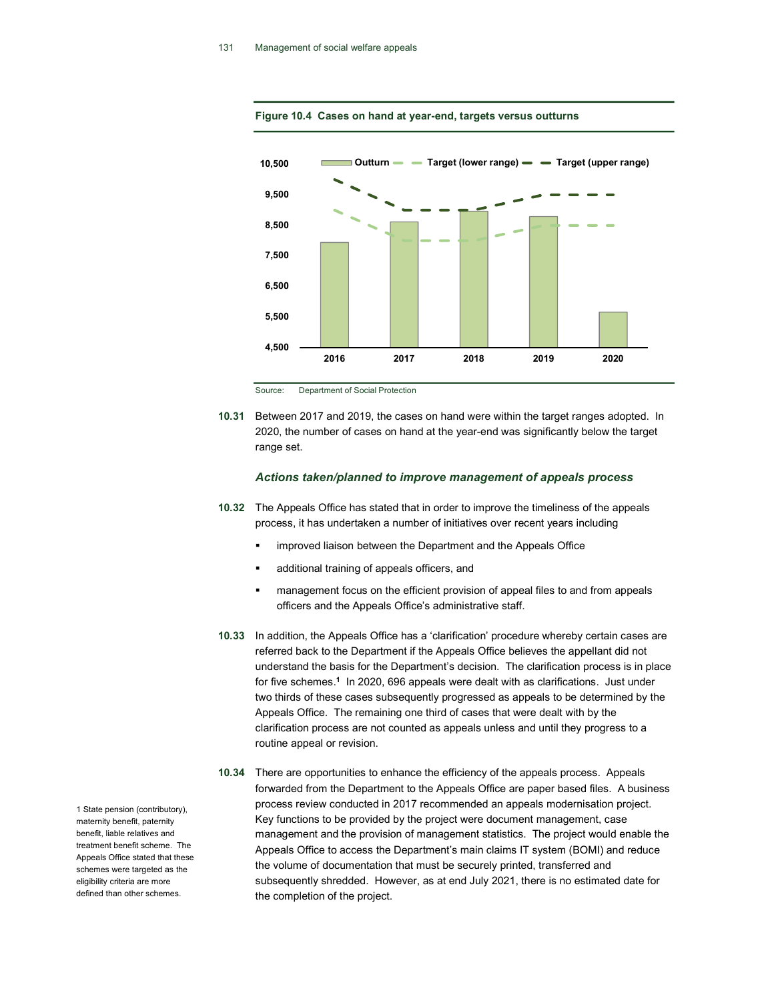

Figure 10.4 Cases on hand at year-end, targets versus outturns

Source: Department of Social Protection

10.31 Between 2017 and 2019, the cases on hand were within the target ranges adopted. In 2020, the number of cases on hand at the year-end was significantly below the target range set.

# Actions taken/planned to improve management of appeals process

- 10.32 The Appeals Office has stated that in order to improve the timeliness of the appeals process, it has undertaken a number of initiatives over recent years including
	- improved liaison between the Department and the Appeals Office
	- additional training of appeals officers, and
	- management focus on the efficient provision of appeal files to and from appeals officers and the Appeals Office's administrative staff.
- 10.33 In addition, the Appeals Office has a 'clarification' procedure whereby certain cases are referred back to the Department if the Appeals Office believes the appellant did not understand the basis for the Department's decision. The clarification process is in place for five schemes.<sup>1</sup> In 2020, 696 appeals were dealt with as clarifications. Just under two thirds of these cases subsequently progressed as appeals to be determined by the Appeals Office. The remaining one third of cases that were dealt with by the clarification process are not counted as appeals unless and until they progress to a routine appeal or revision.
- 10.34 There are opportunities to enhance the efficiency of the appeals process. Appeals forwarded from the Department to the Appeals Office are paper based files. A business process review conducted in 2017 recommended an appeals modernisation project. Key functions to be provided by the project were document management, case management and the provision of management statistics. The project would enable the Appeals Office to access the Department's main claims IT system (BOMI) and reduce the volume of documentation that must be securely printed, transferred and subsequently shredded. However, as at end July 2021, there is no estimated date for the completion of the project.

1 State pension (contributory), maternity benefit, paternity benefit, liable relatives and treatment benefit scheme. The Appeals Office stated that these schemes were targeted as the eligibility criteria are more defined than other schemes.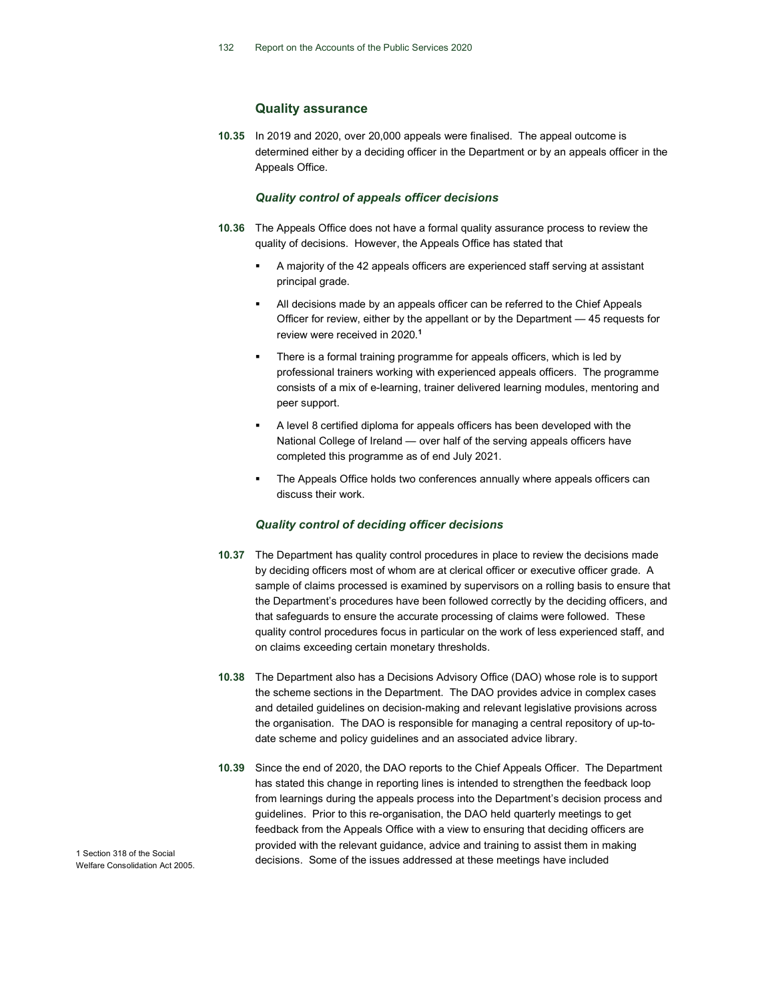# Quality assurance

10.35 In 2019 and 2020, over 20,000 appeals were finalised. The appeal outcome is determined either by a deciding officer in the Department or by an appeals officer in the Appeals Office.

# Quality control of appeals officer decisions

- 10.36 The Appeals Office does not have a formal quality assurance process to review the quality of decisions. However, the Appeals Office has stated that
	- A majority of the 42 appeals officers are experienced staff serving at assistant principal grade.
	- All decisions made by an appeals officer can be referred to the Chief Appeals Officer for review, either by the appellant or by the Department — 45 requests for review were received in 2020.<sup>1</sup>
	- There is a formal training programme for appeals officers, which is led by professional trainers working with experienced appeals officers. The programme consists of a mix of e-learning, trainer delivered learning modules, mentoring and peer support.
	- A level 8 certified diploma for appeals officers has been developed with the National College of Ireland — over half of the serving appeals officers have completed this programme as of end July 2021.
	- The Appeals Office holds two conferences annually where appeals officers can discuss their work.

# Quality control of deciding officer decisions

- 10.37 The Department has quality control procedures in place to review the decisions made by deciding officers most of whom are at clerical officer or executive officer grade. A sample of claims processed is examined by supervisors on a rolling basis to ensure that the Department's procedures have been followed correctly by the deciding officers, and that safeguards to ensure the accurate processing of claims were followed. These quality control procedures focus in particular on the work of less experienced staff, and on claims exceeding certain monetary thresholds.
- 10.38 The Department also has a Decisions Advisory Office (DAO) whose role is to support the scheme sections in the Department. The DAO provides advice in complex cases and detailed guidelines on decision-making and relevant legislative provisions across the organisation. The DAO is responsible for managing a central repository of up-todate scheme and policy guidelines and an associated advice library.
- 10.39 Since the end of 2020, the DAO reports to the Chief Appeals Officer. The Department has stated this change in reporting lines is intended to strengthen the feedback loop from learnings during the appeals process into the Department's decision process and guidelines. Prior to this re-organisation, the DAO held quarterly meetings to get feedback from the Appeals Office with a view to ensuring that deciding officers are provided with the relevant guidance, advice and training to assist them in making decisions. Some of the issues addressed at these meetings have included

1 Section 318 of the Social Welfare Consolidation Act 2005.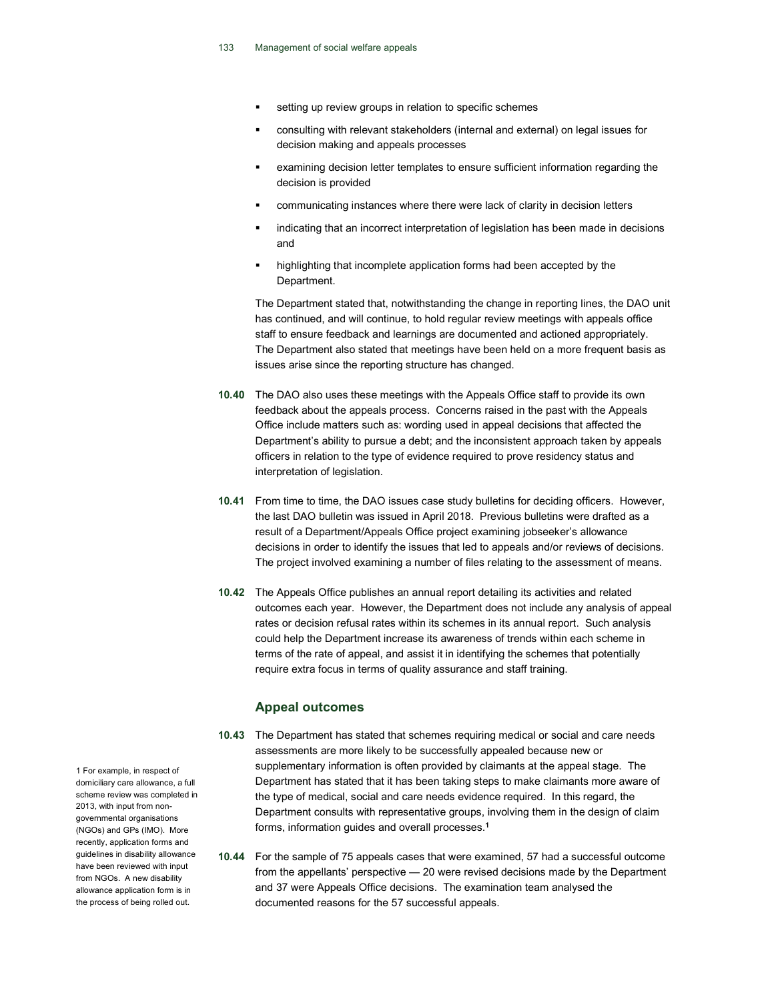- setting up review groups in relation to specific schemes
- consulting with relevant stakeholders (internal and external) on legal issues for decision making and appeals processes
- examining decision letter templates to ensure sufficient information regarding the decision is provided
- communicating instances where there were lack of clarity in decision letters
- indicating that an incorrect interpretation of legislation has been made in decisions and
- highlighting that incomplete application forms had been accepted by the Department.

The Department stated that, notwithstanding the change in reporting lines, the DAO unit has continued, and will continue, to hold regular review meetings with appeals office staff to ensure feedback and learnings are documented and actioned appropriately. The Department also stated that meetings have been held on a more frequent basis as issues arise since the reporting structure has changed.

- 10.40 The DAO also uses these meetings with the Appeals Office staff to provide its own feedback about the appeals process. Concerns raised in the past with the Appeals Office include matters such as: wording used in appeal decisions that affected the Department's ability to pursue a debt; and the inconsistent approach taken by appeals officers in relation to the type of evidence required to prove residency status and interpretation of legislation.
- 10.41 From time to time, the DAO issues case study bulletins for deciding officers. However, the last DAO bulletin was issued in April 2018. Previous bulletins were drafted as a result of a Department/Appeals Office project examining jobseeker's allowance decisions in order to identify the issues that led to appeals and/or reviews of decisions. The project involved examining a number of files relating to the assessment of means.
- 10.42 The Appeals Office publishes an annual report detailing its activities and related outcomes each year. However, the Department does not include any analysis of appeal rates or decision refusal rates within its schemes in its annual report. Such analysis could help the Department increase its awareness of trends within each scheme in terms of the rate of appeal, and assist it in identifying the schemes that potentially require extra focus in terms of quality assurance and staff training.

# Appeal outcomes

- 10.43 The Department has stated that schemes requiring medical or social and care needs assessments are more likely to be successfully appealed because new or supplementary information is often provided by claimants at the appeal stage. The Department has stated that it has been taking steps to make claimants more aware of the type of medical, social and care needs evidence required. In this regard, the Department consults with representative groups, involving them in the design of claim forms, information guides and overall processes.<sup>1</sup>
- 10.44 For the sample of 75 appeals cases that were examined, 57 had a successful outcome from the appellants' perspective — 20 were revised decisions made by the Department and 37 were Appeals Office decisions. The examination team analysed the documented reasons for the 57 successful appeals.

1 For example, in respect of domiciliary care allowance, a full scheme review was completed in 2013, with input from nongovernmental organisations (NGOs) and GPs (IMO). More recently, application forms and guidelines in disability allowance have been reviewed with input from NGOs. A new disability allowance application form is in the process of being rolled out.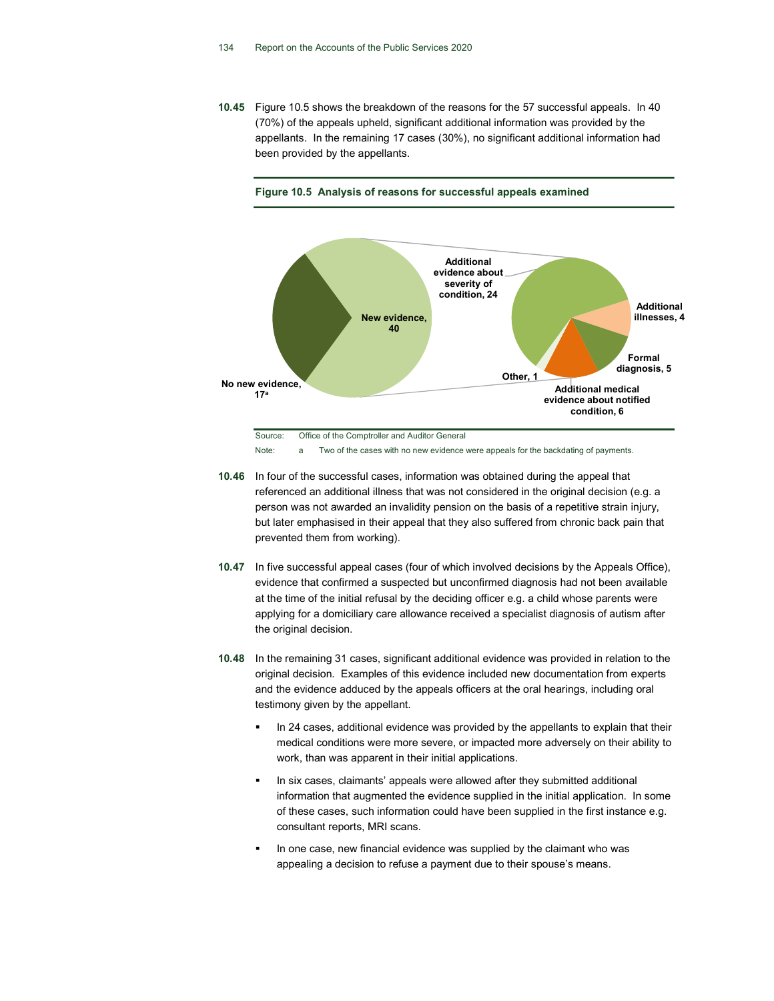10.45 Figure 10.5 shows the breakdown of the reasons for the 57 successful appeals. In 40 (70%) of the appeals upheld, significant additional information was provided by the appellants. In the remaining 17 cases (30%), no significant additional information had been provided by the appellants.





Note: a Two of the cases with no new evidence were appeals for the backdating of payments.

- 10.46 In four of the successful cases, information was obtained during the appeal that referenced an additional illness that was not considered in the original decision (e.g. a person was not awarded an invalidity pension on the basis of a repetitive strain injury, but later emphasised in their appeal that they also suffered from chronic back pain that prevented them from working).
- 10.47 In five successful appeal cases (four of which involved decisions by the Appeals Office), evidence that confirmed a suspected but unconfirmed diagnosis had not been available at the time of the initial refusal by the deciding officer e.g. a child whose parents were applying for a domiciliary care allowance received a specialist diagnosis of autism after the original decision.
- 10.48 In the remaining 31 cases, significant additional evidence was provided in relation to the original decision. Examples of this evidence included new documentation from experts and the evidence adduced by the appeals officers at the oral hearings, including oral testimony given by the appellant.
	- In 24 cases, additional evidence was provided by the appellants to explain that their medical conditions were more severe, or impacted more adversely on their ability to work, than was apparent in their initial applications.
	- In six cases, claimants' appeals were allowed after they submitted additional information that augmented the evidence supplied in the initial application. In some of these cases, such information could have been supplied in the first instance e.g. consultant reports, MRI scans.
	- In one case, new financial evidence was supplied by the claimant who was appealing a decision to refuse a payment due to their spouse's means.

Source: Office of the Comptroller and Auditor General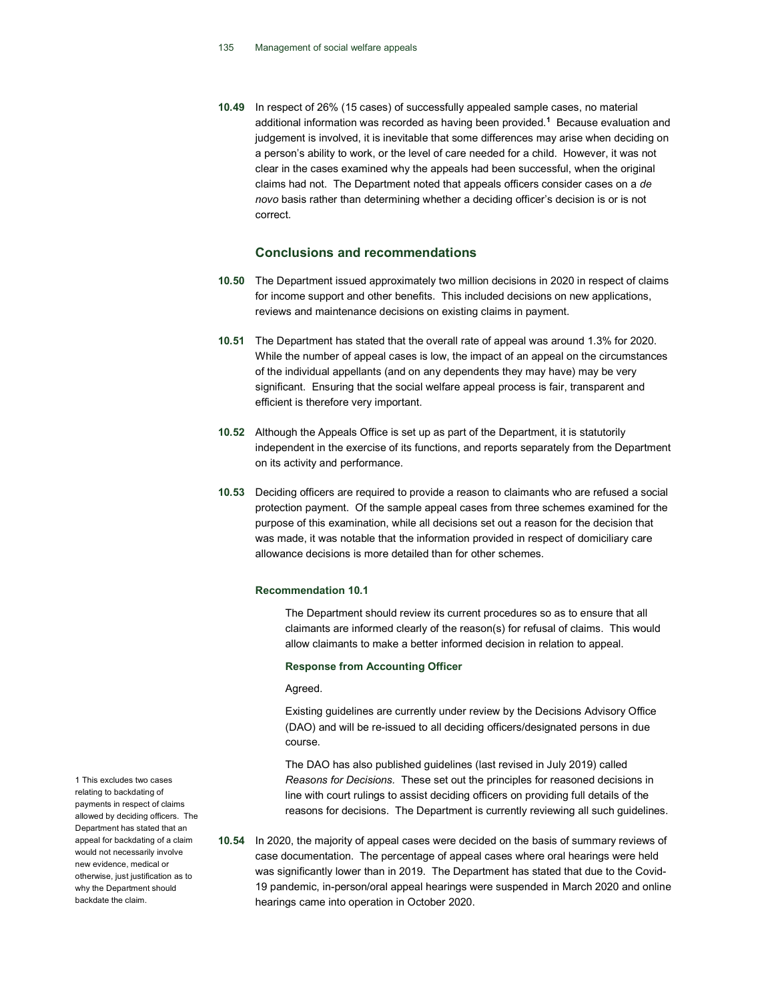10.49 In respect of 26% (15 cases) of successfully appealed sample cases, no material additional information was recorded as having been provided.<sup>1</sup> Because evaluation and judgement is involved, it is inevitable that some differences may arise when deciding on a person's ability to work, or the level of care needed for a child. However, it was not clear in the cases examined why the appeals had been successful, when the original claims had not. The Department noted that appeals officers consider cases on a de novo basis rather than determining whether a deciding officer's decision is or is not correct.

# Conclusions and recommendations

- 10.50 The Department issued approximately two million decisions in 2020 in respect of claims for income support and other benefits. This included decisions on new applications, reviews and maintenance decisions on existing claims in payment.
- 10.51 The Department has stated that the overall rate of appeal was around 1.3% for 2020. While the number of appeal cases is low, the impact of an appeal on the circumstances of the individual appellants (and on any dependents they may have) may be very significant. Ensuring that the social welfare appeal process is fair, transparent and efficient is therefore very important.
- 10.52 Although the Appeals Office is set up as part of the Department, it is statutorily independent in the exercise of its functions, and reports separately from the Department on its activity and performance.
- 10.53 Deciding officers are required to provide a reason to claimants who are refused a social protection payment. Of the sample appeal cases from three schemes examined for the purpose of this examination, while all decisions set out a reason for the decision that was made, it was notable that the information provided in respect of domiciliary care allowance decisions is more detailed than for other schemes.

## Recommendation 10.1

The Department should review its current procedures so as to ensure that all claimants are informed clearly of the reason(s) for refusal of claims. This would allow claimants to make a better informed decision in relation to appeal.

#### Response from Accounting Officer

#### Agreed.

Existing guidelines are currently under review by the Decisions Advisory Office (DAO) and will be re-issued to all deciding officers/designated persons in due course.

The DAO has also published guidelines (last revised in July 2019) called Reasons for Decisions. These set out the principles for reasoned decisions in line with court rulings to assist deciding officers on providing full details of the reasons for decisions. The Department is currently reviewing all such guidelines.

10.54 In 2020, the majority of appeal cases were decided on the basis of summary reviews of case documentation. The percentage of appeal cases where oral hearings were held was significantly lower than in 2019. The Department has stated that due to the Covid-19 pandemic, in-person/oral appeal hearings were suspended in March 2020 and online hearings came into operation in October 2020.

1 This excludes two cases relating to backdating of payments in respect of claims allowed by deciding officers. The Department has stated that an appeal for backdating of a claim would not necessarily involve new evidence, medical or otherwise, just justification as to why the Department should backdate the claim.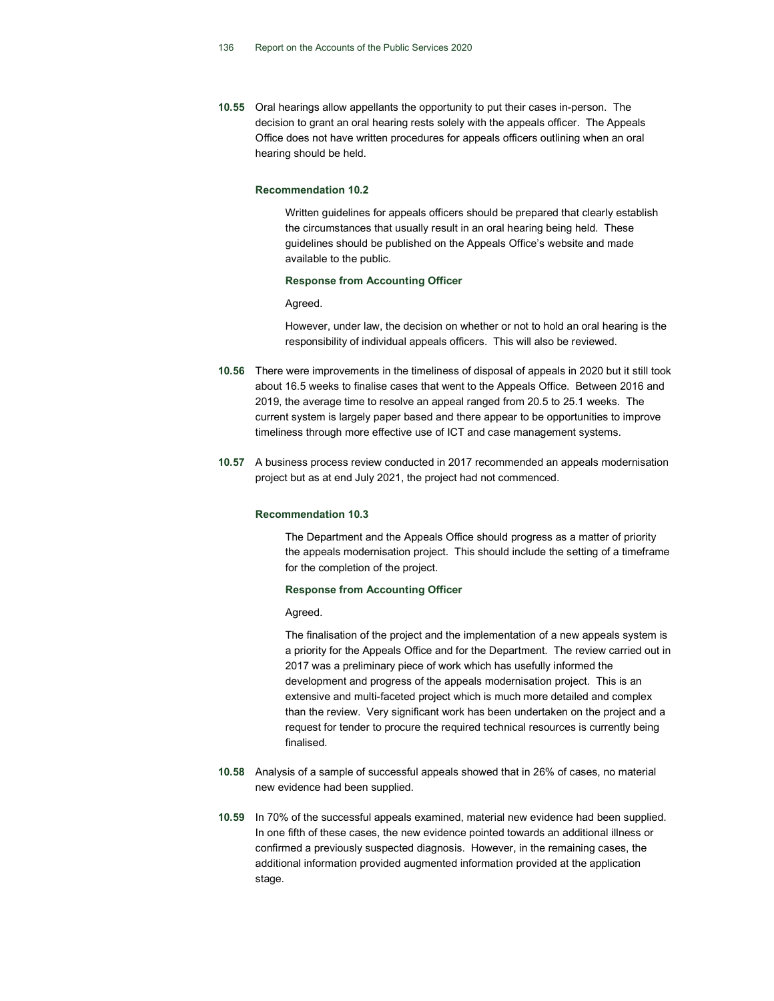10.55 Oral hearings allow appellants the opportunity to put their cases in-person. The decision to grant an oral hearing rests solely with the appeals officer. The Appeals Office does not have written procedures for appeals officers outlining when an oral hearing should be held.

#### Recommendation 10.2

Written guidelines for appeals officers should be prepared that clearly establish the circumstances that usually result in an oral hearing being held. These guidelines should be published on the Appeals Office's website and made available to the public.

#### Response from Accounting Officer

#### Agreed.

However, under law, the decision on whether or not to hold an oral hearing is the responsibility of individual appeals officers. This will also be reviewed.

- 10.56 There were improvements in the timeliness of disposal of appeals in 2020 but it still took about 16.5 weeks to finalise cases that went to the Appeals Office. Between 2016 and 2019, the average time to resolve an appeal ranged from 20.5 to 25.1 weeks. The current system is largely paper based and there appear to be opportunities to improve timeliness through more effective use of ICT and case management systems.
- 10.57 A business process review conducted in 2017 recommended an appeals modernisation project but as at end July 2021, the project had not commenced.

## Recommendation 10.3

The Department and the Appeals Office should progress as a matter of priority the appeals modernisation project. This should include the setting of a timeframe for the completion of the project.

## Response from Accounting Officer

#### Agreed.

The finalisation of the project and the implementation of a new appeals system is a priority for the Appeals Office and for the Department. The review carried out in 2017 was a preliminary piece of work which has usefully informed the development and progress of the appeals modernisation project. This is an extensive and multi-faceted project which is much more detailed and complex than the review. Very significant work has been undertaken on the project and a request for tender to procure the required technical resources is currently being finalised.

- 10.58 Analysis of a sample of successful appeals showed that in 26% of cases, no material new evidence had been supplied.
- 10.59 In 70% of the successful appeals examined, material new evidence had been supplied. In one fifth of these cases, the new evidence pointed towards an additional illness or confirmed a previously suspected diagnosis. However, in the remaining cases, the additional information provided augmented information provided at the application stage.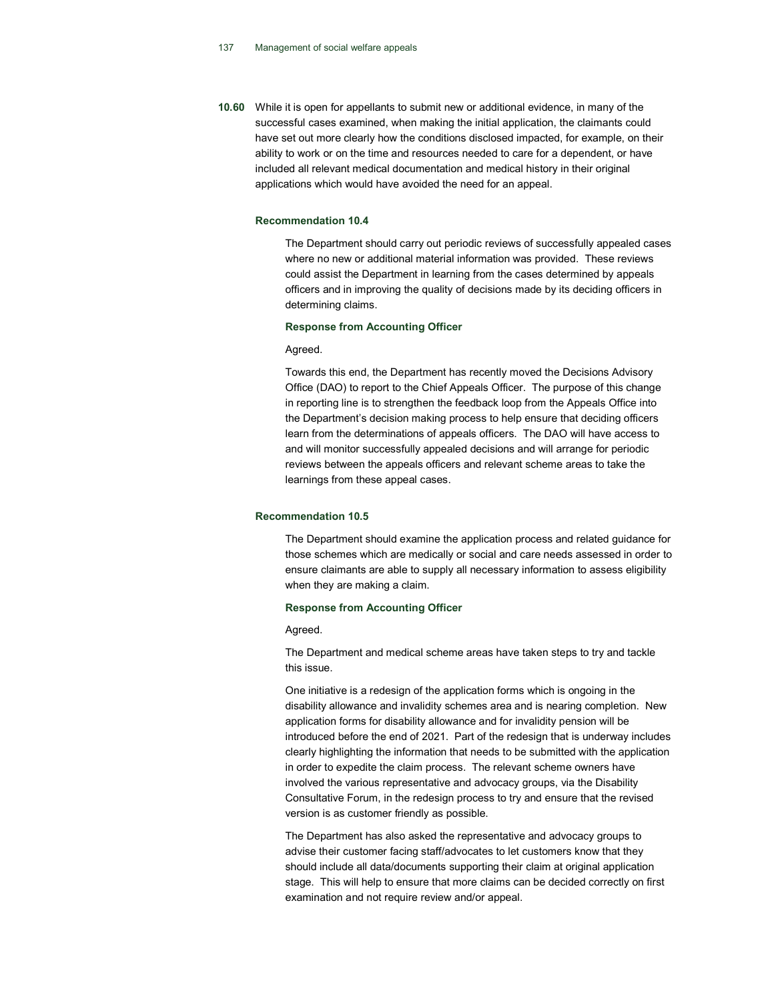10.60 While it is open for appellants to submit new or additional evidence, in many of the successful cases examined, when making the initial application, the claimants could have set out more clearly how the conditions disclosed impacted, for example, on their ability to work or on the time and resources needed to care for a dependent, or have included all relevant medical documentation and medical history in their original applications which would have avoided the need for an appeal.

#### Recommendation 10.4

The Department should carry out periodic reviews of successfully appealed cases where no new or additional material information was provided. These reviews could assist the Department in learning from the cases determined by appeals officers and in improving the quality of decisions made by its deciding officers in determining claims.

## Response from Accounting Officer

#### Agreed.

Towards this end, the Department has recently moved the Decisions Advisory Office (DAO) to report to the Chief Appeals Officer. The purpose of this change in reporting line is to strengthen the feedback loop from the Appeals Office into the Department's decision making process to help ensure that deciding officers learn from the determinations of appeals officers. The DAO will have access to and will monitor successfully appealed decisions and will arrange for periodic reviews between the appeals officers and relevant scheme areas to take the learnings from these appeal cases.

#### Recommendation 10.5

The Department should examine the application process and related guidance for those schemes which are medically or social and care needs assessed in order to ensure claimants are able to supply all necessary information to assess eligibility when they are making a claim.

#### Response from Accounting Officer

#### Agreed.

The Department and medical scheme areas have taken steps to try and tackle this issue.

One initiative is a redesign of the application forms which is ongoing in the disability allowance and invalidity schemes area and is nearing completion. New application forms for disability allowance and for invalidity pension will be introduced before the end of 2021. Part of the redesign that is underway includes clearly highlighting the information that needs to be submitted with the application in order to expedite the claim process. The relevant scheme owners have involved the various representative and advocacy groups, via the Disability Consultative Forum, in the redesign process to try and ensure that the revised version is as customer friendly as possible.

The Department has also asked the representative and advocacy groups to advise their customer facing staff/advocates to let customers know that they should include all data/documents supporting their claim at original application stage. This will help to ensure that more claims can be decided correctly on first examination and not require review and/or appeal.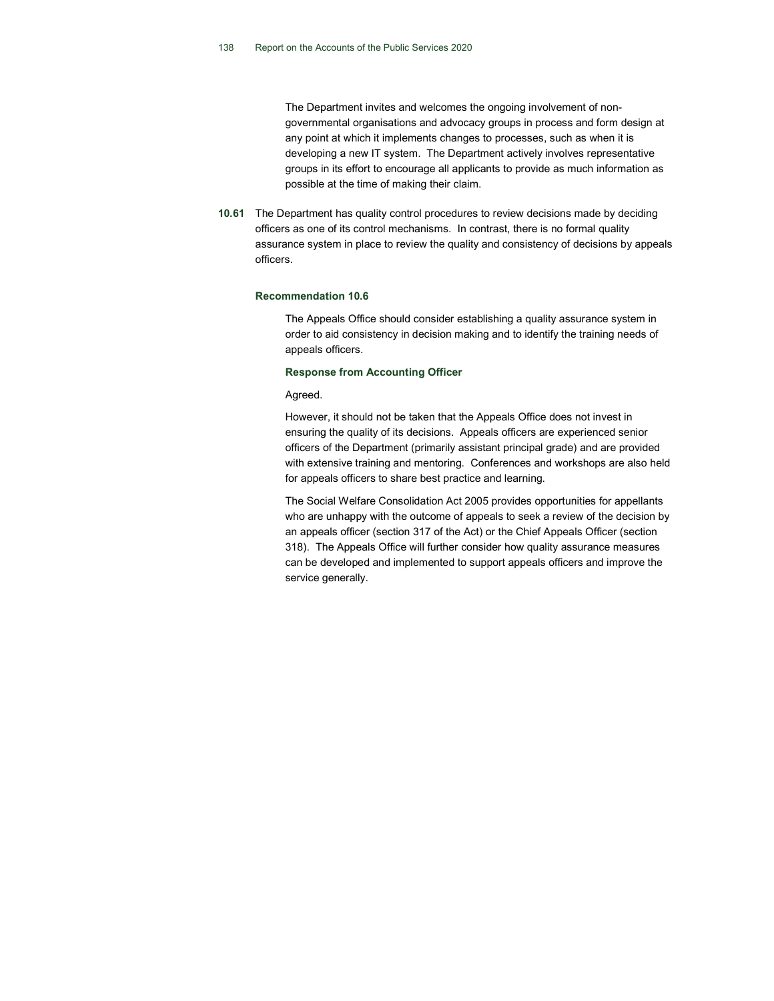The Department invites and welcomes the ongoing involvement of nongovernmental organisations and advocacy groups in process and form design at any point at which it implements changes to processes, such as when it is developing a new IT system. The Department actively involves representative groups in its effort to encourage all applicants to provide as much information as possible at the time of making their claim.

10.61 The Department has quality control procedures to review decisions made by deciding officers as one of its control mechanisms. In contrast, there is no formal quality assurance system in place to review the quality and consistency of decisions by appeals officers.

#### Recommendation 10.6

The Appeals Office should consider establishing a quality assurance system in order to aid consistency in decision making and to identify the training needs of appeals officers.

#### Response from Accounting Officer

Agreed.

However, it should not be taken that the Appeals Office does not invest in ensuring the quality of its decisions. Appeals officers are experienced senior officers of the Department (primarily assistant principal grade) and are provided with extensive training and mentoring. Conferences and workshops are also held for appeals officers to share best practice and learning.

The Social Welfare Consolidation Act 2005 provides opportunities for appellants who are unhappy with the outcome of appeals to seek a review of the decision by an appeals officer (section 317 of the Act) or the Chief Appeals Officer (section 318). The Appeals Office will further consider how quality assurance measures can be developed and implemented to support appeals officers and improve the service generally.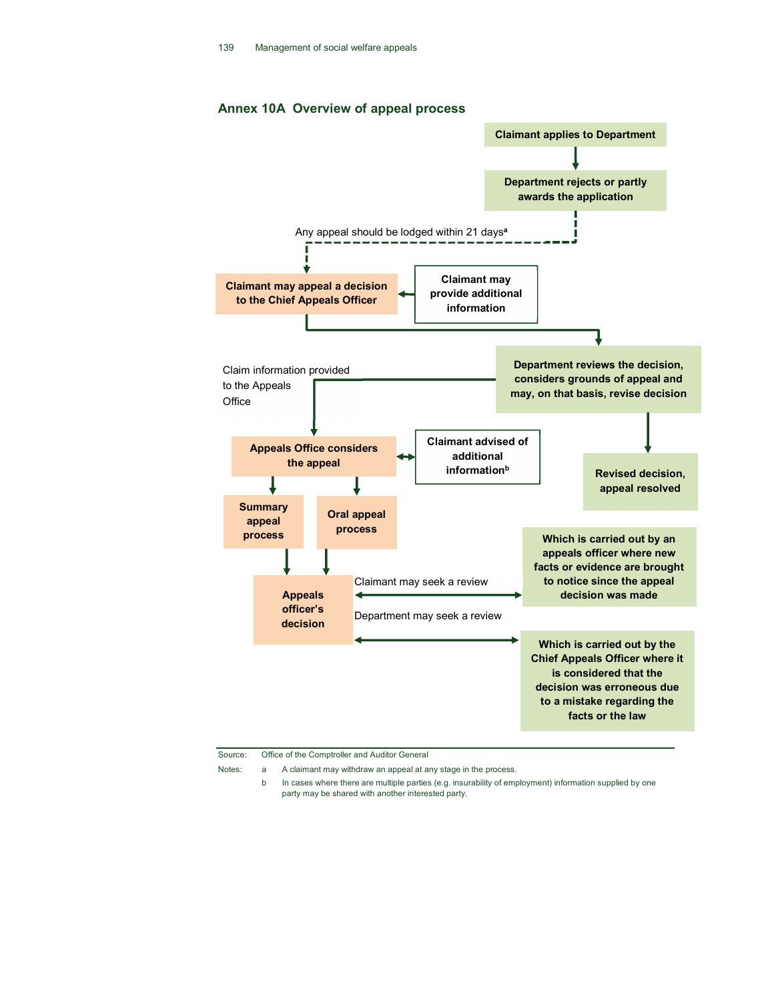# Annex 10A Overview of appeal process



Source: Office of the Comptroller and Auditor General

Notes: a A claimant may withdraw an appeal at any stage in the process.

 b In cases where there are multiple parties (e.g. insurability of employment) information supplied by one party may be shared with another interested party.